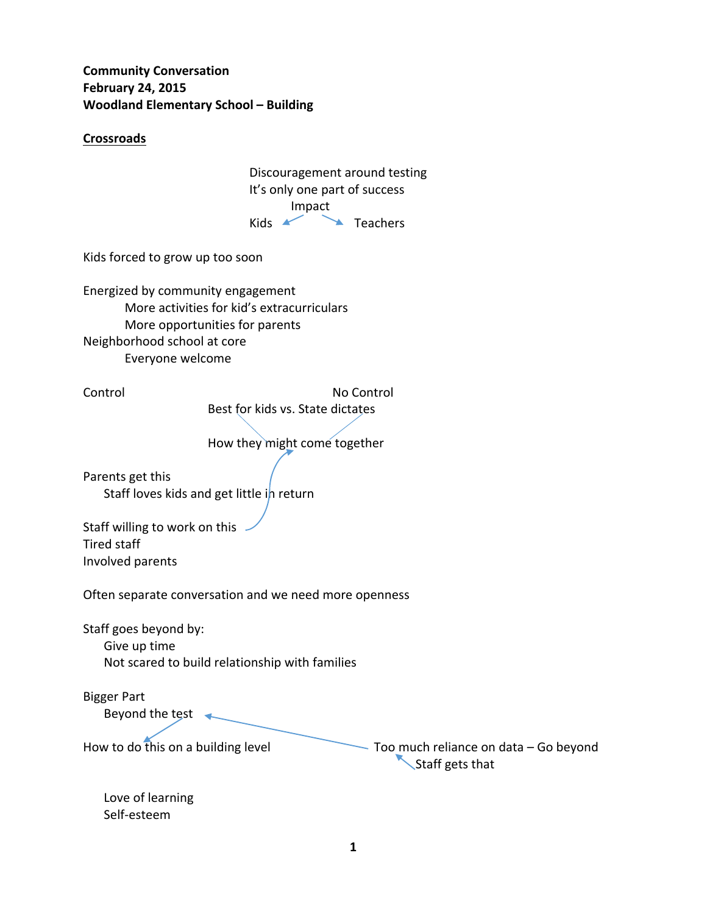**Community Conversation February 24, 2015 Woodland Elementary School – Building** 

## **Crossroads**

 Discouragement around testing It's only one part of success Impact Kids **Kids Teachers** 

Kids forced to grow up too soon

Energized by community engagement More activities for kid's extracurriculars More opportunities for parents Neighborhood school at core Everyone welcome

Control No Control No Control Best for kids vs. State dictates

How they might come together

Parents get this Staff loves kids and get little in return

Staff willing to work on this Tired staff Involved parents

Often separate conversation and we need more openness

Staff goes beyond by: Give up time Not scared to build relationship with families

Bigger Part Beyond the test  $\leftarrow$ 

How to do this on a building level **Too** much reliance on data  $-$  Go beyond Staff gets that

Love of learning Self‐esteem